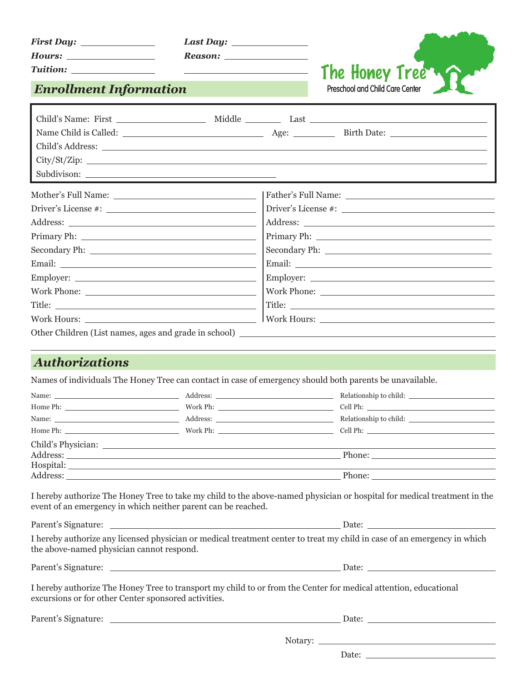| <b>First Day:</b> |  |
|-------------------|--|
| Hours:            |  |

| Last Daw: |  |
|-----------|--|
|           |  |

*Reason:* 

The Honey Tree **Preschool and Child Care Center**

*Enrollment Information*

*Tuition:* 

| City/St/Zip:                                                                                                                                                                                                                   |  |  |                                                                                                                                                                                                                                      |
|--------------------------------------------------------------------------------------------------------------------------------------------------------------------------------------------------------------------------------|--|--|--------------------------------------------------------------------------------------------------------------------------------------------------------------------------------------------------------------------------------------|
| Subdivison:                                                                                                                                                                                                                    |  |  |                                                                                                                                                                                                                                      |
|                                                                                                                                                                                                                                |  |  |                                                                                                                                                                                                                                      |
|                                                                                                                                                                                                                                |  |  |                                                                                                                                                                                                                                      |
|                                                                                                                                                                                                                                |  |  |                                                                                                                                                                                                                                      |
|                                                                                                                                                                                                                                |  |  |                                                                                                                                                                                                                                      |
|                                                                                                                                                                                                                                |  |  |                                                                                                                                                                                                                                      |
|                                                                                                                                                                                                                                |  |  | Email: <u>Alexander and Alexander and Alexander and Alexander and Alexander and Alexander and Alexander and Alexander and Alexander and Alexander and Alexander and Alexander and Alexander and Alexander and Alexander and Alex</u> |
|                                                                                                                                                                                                                                |  |  |                                                                                                                                                                                                                                      |
|                                                                                                                                                                                                                                |  |  |                                                                                                                                                                                                                                      |
|                                                                                                                                                                                                                                |  |  |                                                                                                                                                                                                                                      |
| Work Hours: New York Department of the United States of the United States of the United States of the United States of the United States of the United States of the United States of the United States of the United States o |  |  |                                                                                                                                                                                                                                      |
|                                                                                                                                                                                                                                |  |  |                                                                                                                                                                                                                                      |
|                                                                                                                                                                                                                                |  |  |                                                                                                                                                                                                                                      |
| <b>Authorizations</b>                                                                                                                                                                                                          |  |  |                                                                                                                                                                                                                                      |
| Names of individuals The Honey Tree can contact in case of emergency should both parents be unavailable.                                                                                                                       |  |  |                                                                                                                                                                                                                                      |
|                                                                                                                                                                                                                                |  |  |                                                                                                                                                                                                                                      |
|                                                                                                                                                                                                                                |  |  |                                                                                                                                                                                                                                      |
|                                                                                                                                                                                                                                |  |  | Relationship to child:                                                                                                                                                                                                               |
|                                                                                                                                                                                                                                |  |  |                                                                                                                                                                                                                                      |
|                                                                                                                                                                                                                                |  |  |                                                                                                                                                                                                                                      |
|                                                                                                                                                                                                                                |  |  |                                                                                                                                                                                                                                      |
|                                                                                                                                                                                                                                |  |  |                                                                                                                                                                                                                                      |
| I hereby authorize The Honey Tree to take my child to the above-named physician or hospital for medical treatment in the<br>event of an emergency in which neither parent can be reached.                                      |  |  |                                                                                                                                                                                                                                      |
|                                                                                                                                                                                                                                |  |  |                                                                                                                                                                                                                                      |
| I hereby authorize any licensed physician or medical treatment center to treat my child in case of an emergency in which<br>the above-named physician cannot respond.                                                          |  |  |                                                                                                                                                                                                                                      |
|                                                                                                                                                                                                                                |  |  |                                                                                                                                                                                                                                      |
| I hereby authorize The Honey Tree to transport my child to or from the Center for medical attention, educational<br>excursions or for other Center sponsored activities.                                                       |  |  |                                                                                                                                                                                                                                      |
|                                                                                                                                                                                                                                |  |  |                                                                                                                                                                                                                                      |
|                                                                                                                                                                                                                                |  |  |                                                                                                                                                                                                                                      |
|                                                                                                                                                                                                                                |  |  |                                                                                                                                                                                                                                      |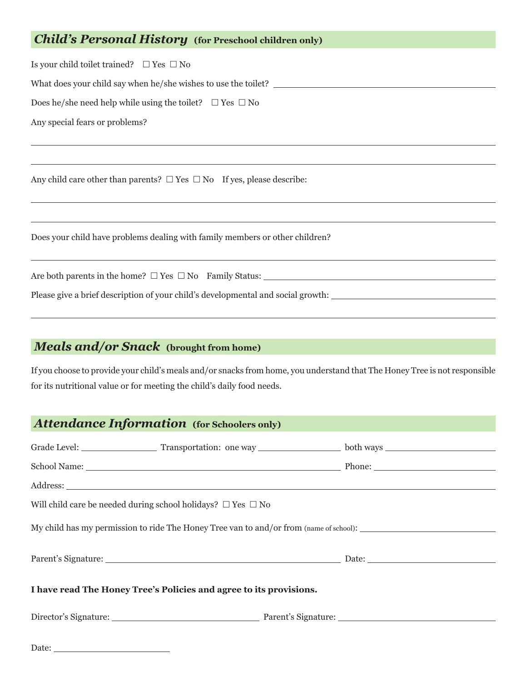## *Child's Personal History* **(for Preschool children only)**

Is your child toilet trained?  $\Box$  Yes  $\Box$  No

What does your child say when he/she wishes to use the toilet? \_\_\_\_\_\_\_\_\_\_\_\_\_\_\_\_\_\_

Does he/she need help while using the toilet?  $\Box$  Yes  $\Box$  No

Any special fears or problems?

 $\overline{a}$ 

 $\overline{a}$ 

 $\overline{a}$ 

 $\overline{a}$ 

 $\overline{a}$ 

 $\overline{a}$ 

Any child care other than parents?  $\Box$  Yes  $\Box$  No If yes, please describe:

Does your child have problems dealing with family members or other children?

Are both parents in the home?  $\Box$  Yes  $\Box$  No Family Status:  $\Box$  No Yes  $\Box$  No Family Status:

Please give a brief description of your child's developmental and social growth:

### *Meals and/or Snack* **(brought from home)**

If you choose to provide your child's meals and/or snacks from home, you understand that The Honey Tree is not responsible for its nutritional value or for meeting the child's daily food needs.

## *Attendance Information* **(for Schoolers only)**

| Will child care be needed during school holidays? $\Box$ Yes $\Box$ No                 |  |  |  |  |
|----------------------------------------------------------------------------------------|--|--|--|--|
| My child has my permission to ride The Honey Tree van to and/or from (name of school): |  |  |  |  |
|                                                                                        |  |  |  |  |
|                                                                                        |  |  |  |  |
| I have read The Honey Tree's Policies and agree to its provisions.                     |  |  |  |  |
|                                                                                        |  |  |  |  |
|                                                                                        |  |  |  |  |